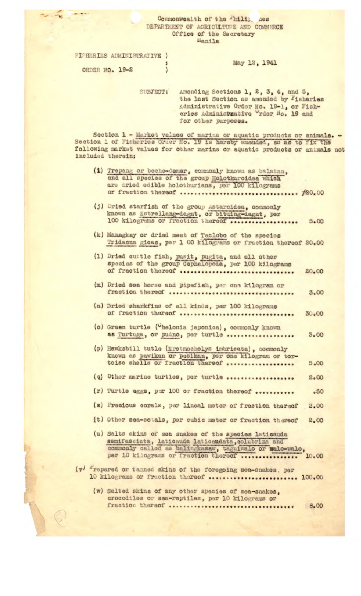## Commonwealth of the Thilip Aes DEPARTMENT OF AGRICULTURE AND COMMERCE Office of the Secretary Manila

FISHERIES ADMINISTRATIVE ) ORDER NO. 19-2  $\bigg)$ 

 $\begin{array}{c|c|c|c|c|c} \hline \mathbf{w} & \mathbf{w} & \mathbf{w} & \mathbf{w} \\ \hline \mathbf{w} & \mathbf{w} & \mathbf{w} & \mathbf{w} & \mathbf{w} \\ \hline \mathbf{w} & \mathbf{w} & \mathbf{w} & \mathbf{w} & \mathbf{w} & \mathbf{w} \end{array}$ 

 $\bigcirc$ 

## May 12, 1941

SUBJECT: Amending Sections 1, 2, 3, 4, and 5, the last Section as amended by Fisheries Administrative Order No. 19-1, or Fish-<br>eries Administrative rder No. 19 and for other purposes.

Section 1 - Market values of marine or aquatic products or animals. -<br>Section 1 of Fisheries Order No. 19 is hereby amonded, so as to fix the following market values for other marine or aquatic products or animals not included therein;

- (1) Trepang or beche-demer, commonly known as balatan, and all species of the group Holothuroidea which are dried edible holothurians, per 100 kilograms or fraction thereof ................................. #20.00
- (j) Dried starfish of the group Astarcidea, commonly known as Estrellang-dagat, or bituing-dagat, per 100 kilograms or fraction thereof .................. 5.00
- (k) Managkay or dried meat of Taclobo of the species Tridacna gicas, per 1 00 kilograms or fraction thereof 20.00
- (1) Dried cuttle fish, pusit, pugita, and all other species of the group Cephalopoda, per 100 kilograms of fraction thereof *essessessessessessessessessesses* 20.00
- (m) Dried sea horse and pipefish, per one kilogram or fraction thereof association association to the 3.00
- (n) Dried sharkfins of all kinds, per 100 kilograms of fraction thereof *exercisessessessessessessesses*  $30.00$
- (o) Green turtle ("helonia japonica), commonly known as Turtuga, or pudno, per turtle ..................  $3 - 00$
- (p) Hawksbill tutle (Eretmochelys imbricata), commonly known as pawikan or pesikan, per one kilogram or tor-<br>toise shells or fraction thereof .................. 5.00
- (q) Other marine turtles, per turtle ................... 2.00
- (r) Turtle eggs, per 100 or fraction thereof ...........  $.50$
- (s) Precious corals, per lineal meter of fraction thereof 2.00
- (t) Other sea-cotals, per cubic meter or fraction thereof 2.00
- (u) Salts skins of sea snakes of the species laticauda semifasciata, laticauda laticaudata, colubrina and commonly called as balingkasaw, taguiwalo or walo-walo, per 10 kilograms or fraction thereof ................ 10.00
- (v) Frepared or tanned skins of the foregoing sea-snakes, per 10 kilograms or fraction thereof ........................ 100.00
	- (w) Salted skins of any other species of sea-snakes, crocodiles or sea-reptiles, per 10 kilograms or fraction thereof .................................. 8.00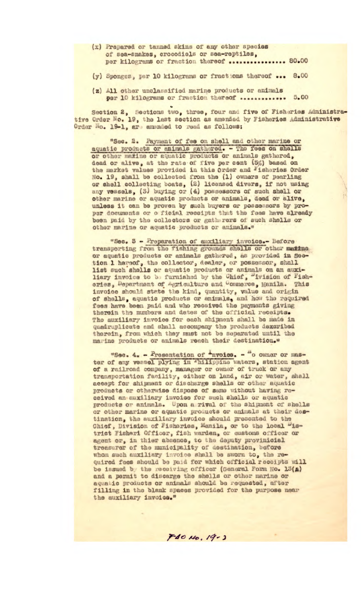- (x) Prepared or tanned skins of any other species of sea-snakes, crocodiels or sea-reptiles, per kilograms or fraction thereof ................ 80.00
- (y) Sponges, per 10 kilograms or fractions thereof ... 8.00
- (z) All other unclassified marine products or animals per 10 kilograms or fraction thereof .............. 5.00

Section 2, Sections two, three, four and five of Fisheries Administrative Order No. 19, the last section as amended by Fisheries Administrative Order No. 19-1, are amonded to read as follows:

"Sec. 2. Payment of fee on shell and other marine or aquatic products or animals gathered. - The fees on shells or other matine or aquatic products or animals gathered, dead or alive, at the rate of five per cent (5%) based on the market values provided in this Order and Fisheries Order No. 19, shall be collected from the (1) owners of pearling or shell collecting boats, (2) licensed divers, if not using<br>any vessels, (3) buying or (4) possessors of such shell or other marine or aquatic products or animals, dead or alive, unless it can be proven by such buyers or possessors by proper documents or o ficial receipts that the fees have already been paid by the collectors or gatherers of such shells or other marine or aquatic products or animals."

"Sec. 3 - Preparation of auxiliary invoice.- Before transporting from the fishing grounds shells or other matine or aquatic products or animals gathered, as provided in Section 1 hereof, the collector, dealer, or possessor, shall list such shells or aquatic products or animals on an auxiliary invoice to be furnished by the Chief, "ivision of Fisheries, Department of Agriculture and Commerce, Manila. This invoice should state the kind, quantity, value and origin of shells, aquatic products or animals, and how the required fees have been paid and who received the payments giving therein the numbers and dates of the official receipts. The auxiliary invoice for each shipment shall be made in quadruplicate and shall accompany the products dexcribed therein, from which they must not be separated until the marine products or animals reach their destination."

"Sec. 4. - Presentation of <sup>I</sup>nvoice. - "o owner or mas-<br>ter of any vessel plying in 'hilippine waters, station agent of a railroad company, manager or owner of truck or any transportation facility, either on land, air or water, shall accept for shipment or discharge shells or other aquatic products or otherwise dispose of same without having received an auxiliary invoice for such shells or aquatic products or animals. Upon a rival of the shipment of shells or other marine or aquatic products or animals at their destination, the auxiliary invoice should presented to the Chief, Division of Fisheries, Manila, or to the local "istrict Fisheri Officer, fish warden, or customs officer or agent or, in thier absence, to the deputy provinicial treasurer of the municipality of destination, before whom such auxiliary invoice shall be sworn to, the required fees should be paid for which official receipts will be issued by the receiving officer (General Form No. 13(A) and a permit to discarge the shells or other marine or aquatic products or animals should be requested, after filling in the blank spaces provided for the purpose near the auxiliary invoice."

 $F40140.19-3$